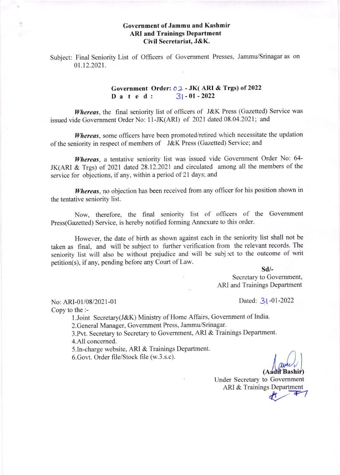## Government of Jammu and Kashmir ARI and Trainings Department Civil Secretariat, J&K.

Subject: Final Seniority List of Officers of Govemment Presses, Jammu/Srinagar as on 01.12.2021.

## Government Order:  $\rho_2$  - JK( ARI & Trgs) of 2022<br>D a t e d :  $31 - 01 - 2022$ Dated:

Whereas, the final seniority list of officers of J&K Press (Gazetted) Service was issued vide Govemment Order No: 11-JK(ARI) of 2021 dated 08.04.2021; and

Whereas, some officers have been promoted/retired which necessitate the updation of the seniority in respect of members of J&K Press (Gazetted) Service; and

Whereas, a tentative seniority list was issued vide Government Order No: 64-JK(ARI & Trgs) of 2021 dated 28.12.2021 and circulated among all the members of the service for objections, if any, within a period of 21 days; and

Whereas, no objection has been received from any officer for his position shown in the tentative seniority list.

Now, therefore, the final seniority list of officers of the Government Press(Gazetted) Service, is hereby notified forming Annexure to this order.

However, the date of birth as shown against each in the seniority list shall not be taken as final, and will be subject to further verification from the relevant records. The seniority list will also be without prejudice and will be subject to the outcome of writ petition(s), if any, pending before any Court of Law.

sd/-

Secretary to Govemment, ARI and Trainings Department

No: ARI-01/08/2021-01 Dated: 3 | -01-2022

Copy to the :-

l.Joint Secretary(J&K) Ministry of Home Affairs, Government of India.

2.General Manager, Govemment Press, Jammu/Srinagar.

3.Pvt. Secretary to Secretary to Government, ARI & Trainings Department. 4.AlI concemed.

5.In-charge website, ARI & Trainings Department.

6.Govt. Order file/Stock file (w.3.s.c).

Under Secretary to Govemment ARI & Trainings Department (Aadil Bashir)